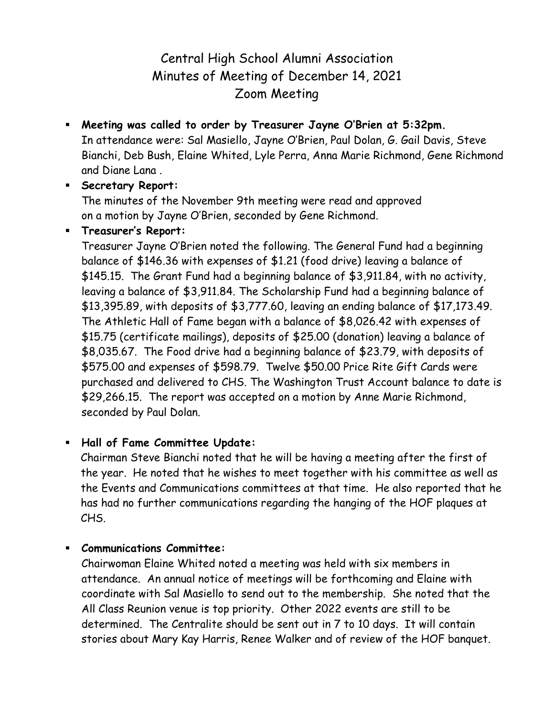# Central High School Alumni Association Minutes of Meeting of December 14, 2021 Zoom Meeting

- **Meeting was called to order by Treasurer Jayne O'Brien at 5:32pm.** In attendance were: Sal Masiello, Jayne O'Brien, Paul Dolan, G. Gail Davis, Steve Bianchi, Deb Bush, Elaine Whited, Lyle Perra, Anna Marie Richmond, Gene Richmond and Diane Lana .
- **Secretary Report:**

The minutes of the November 9th meeting were read and approved on a motion by Jayne O'Brien, seconded by Gene Richmond.

**Treasurer's Report:**

Treasurer Jayne O'Brien noted the following. The General Fund had a beginning balance of \$146.36 with expenses of \$1.21 (food drive) leaving a balance of \$145.15. The Grant Fund had a beginning balance of \$3,911.84, with no activity, leaving a balance of \$3,911.84. The Scholarship Fund had a beginning balance of \$13,395.89, with deposits of \$3,777.60, leaving an ending balance of \$17,173.49. The Athletic Hall of Fame began with a balance of \$8,026.42 with expenses of \$15.75 (certificate mailings), deposits of \$25.00 (donation) leaving a balance of \$8,035.67. The Food drive had a beginning balance of \$23.79, with deposits of \$575.00 and expenses of \$598.79. Twelve \$50.00 Price Rite Gift Cards were purchased and delivered to CHS. The Washington Trust Account balance to date is \$29,266.15. The report was accepted on a motion by Anne Marie Richmond, seconded by Paul Dolan.

## **Hall of Fame Committee Update:**

Chairman Steve Bianchi noted that he will be having a meeting after the first of the year. He noted that he wishes to meet together with his committee as well as the Events and Communications committees at that time. He also reported that he has had no further communications regarding the hanging of the HOF plaques at CHS.

### **Communications Committee:**

Chairwoman Elaine Whited noted a meeting was held with six members in attendance. An annual notice of meetings will be forthcoming and Elaine with coordinate with Sal Masiello to send out to the membership. She noted that the All Class Reunion venue is top priority. Other 2022 events are still to be determined. The Centralite should be sent out in 7 to 10 days. It will contain stories about Mary Kay Harris, Renee Walker and of review of the HOF banquet.